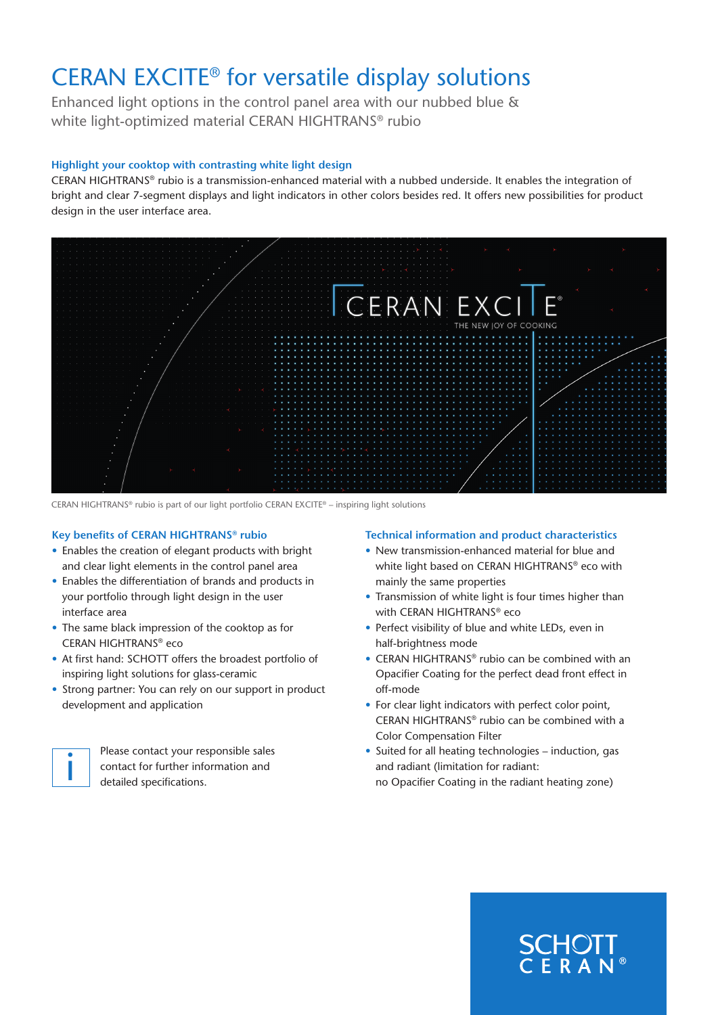# CERAN EXCITE® for versatile display solutions

Enhanced light options in the control panel area with our nubbed blue & white light-optimized material CERAN HIGHTRANS® rubio

# **Highlight your cooktop with contrasting white light design**

CERAN HIGHTRANS® rubio is a transmission-enhanced material with a nubbed underside. It enables the integration of bright and clear 7-segment displays and light indicators in other colors besides red. It offers new possibilities for product design in the user interface area.



CERAN HIGHTRANS® rubio is part of our light portfolio CERAN EXCITE® – inspiring light solutions

## **Key benefits of CERAN HIGHTRANS® rubio**

- Enables the creation of elegant products with bright and clear light elements in the control panel area
- Enables the differentiation of brands and products in your portfolio through light design in the user interface area
- The same black impression of the cooktop as for CERAN HIGHTRANS® eco
- At first hand: SCHOTT offers the broadest portfolio of inspiring light solutions for glass-ceramic
- Strong partner: You can rely on our support in product development and application



Please contact your responsible sales contact for further information and Please contact your respectively.

## **Technical information and product characteristics**

- New transmission-enhanced material for blue and white light based on CERAN HIGHTRANS® eco with mainly the same properties
- Transmission of white light is four times higher than with CERAN HIGHTRANS® eco
- Perfect visibility of blue and white LEDs, even in half-brightness mode
- CERAN HIGHTRANS® rubio can be combined with an Opacifier Coating for the perfect dead front effect in off-mode
- For clear light indicators with perfect color point, CERAN HIGHTRANS® rubio can be combined with a Color Compensation Filter
- Suited for all heating technologies induction, gas and radiant (limitation for radiant:

no Opacifier Coating in the radiant heating zone)